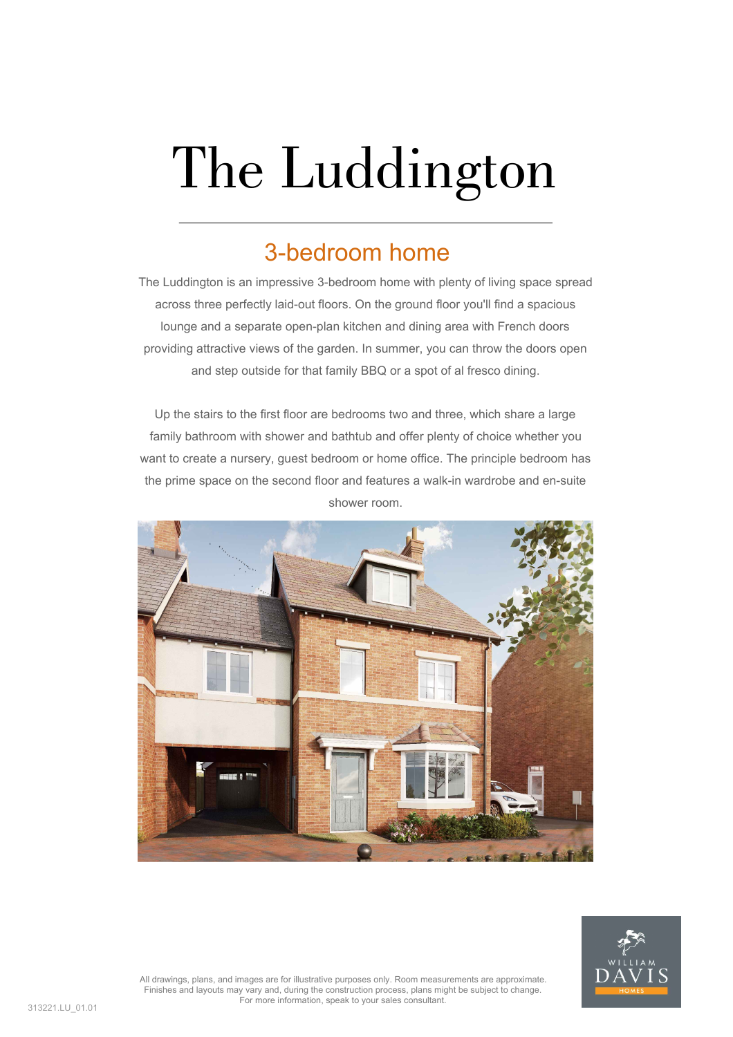## The Luddington

## 3-bedroom home

The Luddington is an impressive 3-bedroom home with plenty of living space spread across three perfectly laid-out floors. On the ground floor you'll find a spacious lounge and a separate open-plan kitchen and dining area with French doors providing attractive views of the garden. In summer, you can throw the doors open and step outside for that family BBQ or a spot of al fresco dining.

Up the stairs to the first floor are bedrooms two and three, which share a large family bathroom with shower and bathtub and offer plenty of choice whether you want to create a nursery, guest bedroom or home office. The principle bedroom has the prime space on the second floor and features a walk-in wardrobe and en-suite shower room.





All drawings, plans, and images are for illustrative purposes only. Room measurements are approximate. Finishes and layouts may vary and, during the construction process, plans might be subject to change. For more information, speak to your sales consultant.